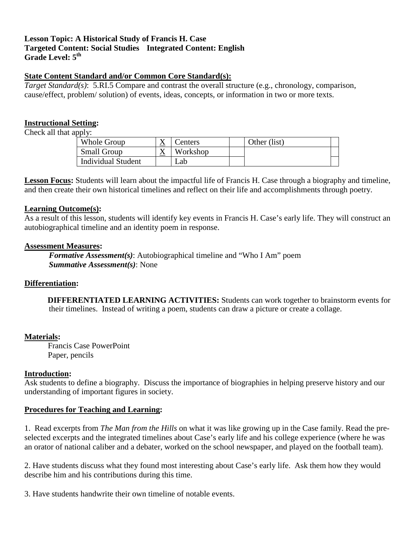# **Lesson Topic: A Historical Study of Francis H. Case**  Grade Level:  $5^{\text{th}}$ **Targeted Content: Social Studies Integrated Content: English**

# **State Content Standard and/or Common Core Standard(s):**

 *Target Standard(s)*: 5.RI.5 Compare and contrast the overall structure (e.g., chronology, comparison, cause/effect, problem/ solution) of events, ideas, concepts, or information in two or more texts.

## **Instructional Setting:**

Check all that apply:

| <b>Small Group</b><br>Workshop<br>$\Lambda$ |  |
|---------------------------------------------|--|
|                                             |  |
| <b>Individual Student</b><br>∟ab            |  |

**Lesson Focus:** Students will learn about the impactful life of Francis H. Case through a biography and timeline, and then create their own historical timelines and reflect on their life and accomplishments through poetry.

#### **Learning Outcome(s):**

As a result of this lesson, students will identify key events in Francis H. Case's early life. They will construct an autobiographical timeline and an identity poem in response.

#### **Assessment Measures:**

 *Formative Assessment(s)*: Autobiographical timeline and "Who I Am" poem *Summative Assessment(s)*: None

### **Differentiation:**

 their timelines. Instead of writing a poem, students can draw a picture or create a collage. **DIFFERENTIATED LEARNING ACTIVITIES:** Students can work together to brainstorm events for

### **Materials:**

 Francis Case PowerPoint Paper, pencils

### **Introduction:**

 Ask students to define a biography. Discuss the importance of biographies in helping preserve history and our understanding of important figures in society.

### **Procedures for Teaching and Learning:**

1. Read excerpts from *The Man from the Hills* on what it was like growing up in the Case family. Read the preselected excerpts and the integrated timelines about Case's early life and his college experience (where he was an orator of national caliber and a debater, worked on the school newspaper, and played on the football team).

2. Have students discuss what they found most interesting about Case's early life. Ask them how they would describe him and his contributions during this time.

3. Have students handwrite their own timeline of notable events.